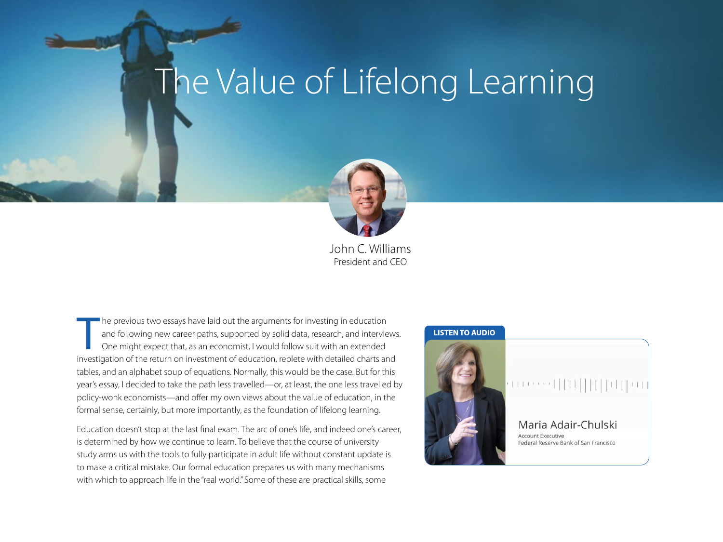## The Value of Lifelong Learning



John C. Williams President and CEO

The previous two essays have laid out the arguments for investing in education and following new career paths, supported by solid data, research, and interviews One might expect that, as an economist, I would follow suit w he previous two essays have laid out the arguments for investing in education and following new career paths, supported by solid data, research, and interviews. One might expect that, as an economist, I would follow suit with an extended tables, and an alphabet soup of equations. Normally, this would be the case. But for this year's essay, I decided to take the path less travelled—or, at least, the one less travelled by policy-wonk economists—and offer my own views about the value of education, in the formal sense, certainly, but more importantly, as the foundation of lifelong learning.

Education doesn't stop at the last final exam. The arc of one's life, and indeed one's career, is determined by how we continue to learn. To believe that the course of university study arms us with the tools to fully participate in adult life without constant update is to make a critical mistake. Our formal education prepares us with many mechanisms with which to approach life in the "real world." Some of these are practical skills, some

## **LISTEN TO AUDIO**

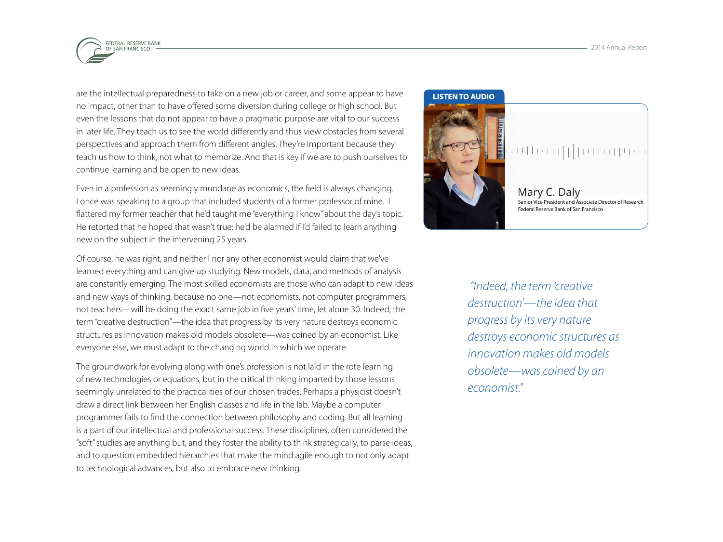

are the intellectual preparedness to take on a new job or career, and some appear to have no impact, other than to have offered some diversion during college or high school. But even the lessons that do not appear to have a pragmatic purpose are vital to our success in later life. They teach us to see the world differently and thus view obstacles from several perspectives and approach them from different angles. They're important because they teach us how to think, not what to memorize. And that is key if we are to push ourselves to continue learning and be open to new ideas.

Even in a profession as seemingly mundane as economics, the field is always changing. I once was speaking to a group that included students of a former professor of mine. I flattered my former teacher that he'd taught me "everything I know" about the day's topic. He retorted that he hoped that wasn't true; he'd be alarmed if I'd failed to learn anything new on the subject in the intervening 25 years.

Of course, he was right, and neither I nor any other economist would claim that we've learned everything and can give up studying. New models, data, and methods of analysis are constantly emerging. The most skilled economists are those who can adapt to new ideas and new ways of thinking, because no one—not economists, not computer programmers, not teachers—will be doing the exact same job in five years' time, let alone 30. Indeed, the term "creative destruction"—the idea that progress by its very nature destroys economic structures as innovation makes old models obsolete—was coined by an economist. Like everyone else, we must adapt to the changing world in which we operate.

The groundwork for evolving along with one's profession is not laid in the rote learning of new technologies or equations, but in the critical thinking imparted by those lessons seemingly unrelated to the practicalities of our chosen trades. Perhaps a physicist doesn't draw a direct link between her English classes and life in the lab. Maybe a computer programmer fails to find the connection between philosophy and coding. But all learning is a part of our intellectual and professional success. These disciplines, often considered the "soft" studies are anything but, and they foster the ability to think strategically, to parse ideas, and to question embedded hierarchies that make the mind agile enough to not only adapt to technological advances, but also to embrace new thinking.

## **LISTEN TO AUDIO**



Mary C. Daly [Senior Vice President and Associate Director of Research](http://sffed-education.org/AnnualReport2014/#college-essays/does-college-pay/video-mary2
) Federal Reserve Bank of San Francisco

 *"Indeed, the term 'creative destruction'—the idea that progress by its very nature destroys economic structures as innovation makes old models obsolete—was coined by an economist."*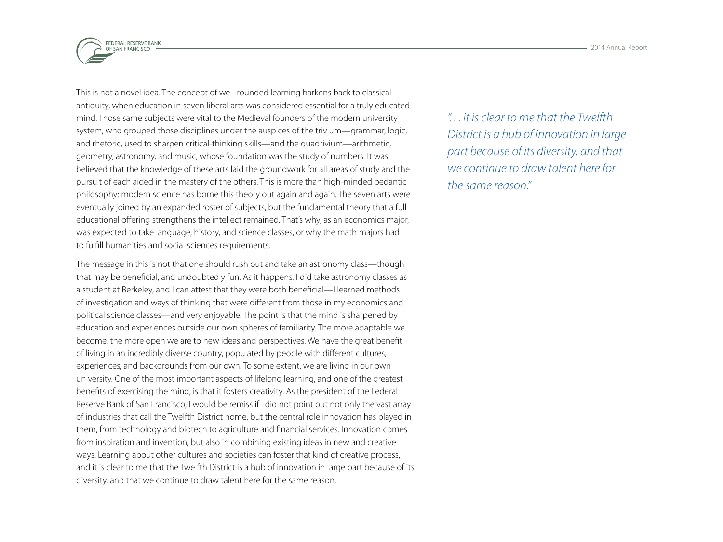

This is not a novel idea. The concept of well-rounded learning harkens back to classical antiquity, when education in seven liberal arts was considered essential for a truly educated mind. Those same subjects were vital to the Medieval founders of the modern university system, who grouped those disciplines under the auspices of the trivium—grammar, logic, and rhetoric, used to sharpen critical-thinking skills—and the quadrivium—arithmetic, geometry, astronomy, and music, whose foundation was the study of numbers. It was believed that the knowledge of these arts laid the groundwork for all areas of study and the pursuit of each aided in the mastery of the others. This is more than high-minded pedantic philosophy: modern science has borne this theory out again and again. The seven arts were eventually joined by an expanded roster of subjects, but the fundamental theory that a full educational offering strengthens the intellect remained. That's why, as an economics major, I was expected to take language, history, and science classes, or why the math majors had to fulfill humanities and social sciences requirements.

The message in this is not that one should rush out and take an astronomy class—though that may be beneficial, and undoubtedly fun. As it happens, I did take astronomy classes as a student at Berkeley, and I can attest that they were both beneficial—I learned methods of investigation and ways of thinking that were different from those in my economics and political science classes—and very enjoyable. The point is that the mind is sharpened by education and experiences outside our own spheres of familiarity. The more adaptable we become, the more open we are to new ideas and perspectives. We have the great benefit of living in an incredibly diverse country, populated by people with different cultures, experiences, and backgrounds from our own. To some extent, we are living in our own university. One of the most important aspects of lifelong learning, and one of the greatest benefits of exercising the mind, is that it fosters creativity. As the president of the Federal Reserve Bank of San Francisco, I would be remiss if I did not point out not only the vast array of industries that call the Twelfth District home, but the central role innovation has played in them, from technology and biotech to agriculture and financial services. Innovation comes from inspiration and invention, but also in combining existing ideas in new and creative ways. Learning about other cultures and societies can foster that kind of creative process, and it is clear to me that the Twelfth District is a hub of innovation in large part because of its diversity, and that we continue to draw talent here for the same reason.

*". . . it is clear to me that the Twelfth District is a hub of innovation in large part because of its diversity, and that we continue to draw talent here for the same reason."*